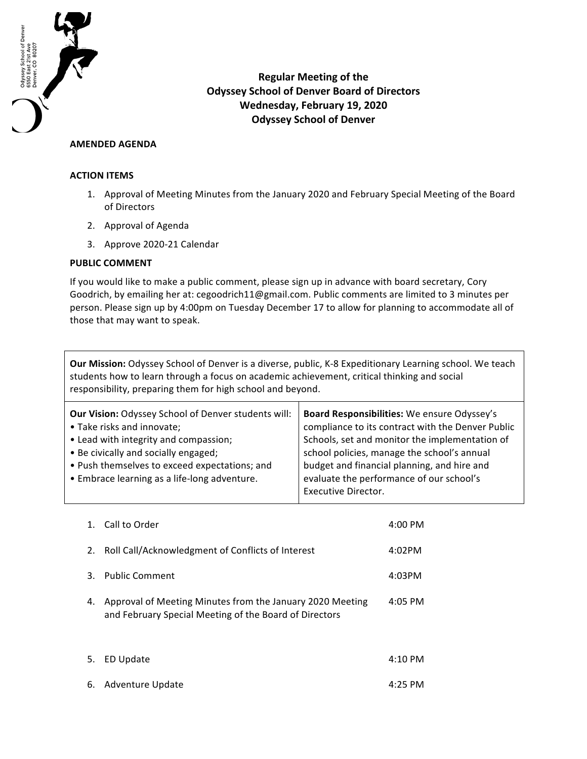

**Regular Meeting of the Odyssey School of Denver Board of Directors Wednesday, February 19, 2020 Odyssey School of Denver** 

## **AMENDED AGENDA**

## **ACTION ITEMS**

- 1. Approval of Meeting Minutes from the January 2020 and February Special Meeting of the Board of Directors
- 2. Approval of Agenda
- 3. Approve 2020-21 Calendar

## **PUBLIC COMMENT**

If you would like to make a public comment, please sign up in advance with board secretary, Cory Goodrich, by emailing her at: cegoodrich11@gmail.com. Public comments are limited to 3 minutes per person. Please sign up by 4:00pm on Tuesday December 17 to allow for planning to accommodate all of those that may want to speak.

**Our Mission:** Odyssey School of Denver is a diverse, public, K-8 Expeditionary Learning school. We teach students how to learn through a focus on academic achievement, critical thinking and social responsibility, preparing them for high school and beyond.

| <b>Our Vision: Odyssey School of Denver students will:</b> | Board Responsibilities: We ensure Odyssey's       |
|------------------------------------------------------------|---------------------------------------------------|
| • Take risks and innovate;                                 | compliance to its contract with the Denver Public |
| • Lead with integrity and compassion;                      | Schools, set and monitor the implementation of    |
| • Be civically and socially engaged;                       | school policies, manage the school's annual       |
| • Push themselves to exceed expectations; and              | budget and financial planning, and hire and       |
| • Embrace learning as a life-long adventure.               | evaluate the performance of our school's          |
|                                                            | <b>Executive Director.</b>                        |

| 1. | Call to Order                                                                                                       | $4:00 \text{ PM}$ |
|----|---------------------------------------------------------------------------------------------------------------------|-------------------|
| 2. | Roll Call/Acknowledgment of Conflicts of Interest                                                                   | $4:02$ PM         |
| 3. | <b>Public Comment</b>                                                                                               | 4:03PM            |
| 4. | Approval of Meeting Minutes from the January 2020 Meeting<br>and February Special Meeting of the Board of Directors | $4:05$ PM         |
| 5. | ED Update                                                                                                           | 4:10<br>РM        |

6. Adventure Update 4:25 PM